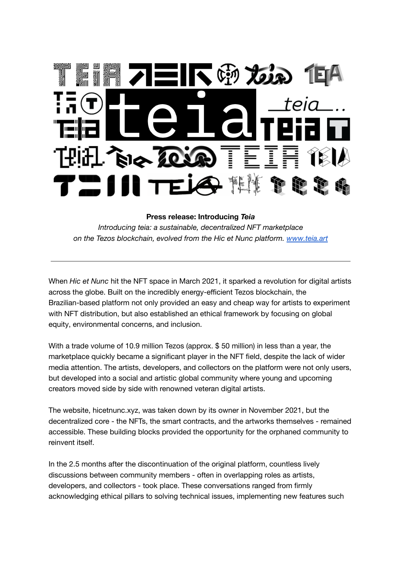

## **Press release: Introducing** *Teia*

*Introducing teia: a sustainable, decentralized NFT marketplace on the Tezos blockchain, evolved from the Hic et Nunc platform. [www.teia.art](http://www.teia.art)*

When *Hic et Nunc* hit the NFT space in March 2021, it sparked a revolution for digital artists across the globe. Built on the incredibly energy-efficient Tezos blockchain, the Brazilian-based platform not only provided an easy and cheap way for artists to experiment with NFT distribution, but also established an ethical framework by focusing on global equity, environmental concerns, and inclusion.

With a trade volume of 10.9 million Tezos (approx. \$ 50 million) in less than a year, the marketplace quickly became a significant player in the NFT field, despite the lack of wider media attention. The artists, developers, and collectors on the platform were not only users, but developed into a social and artistic global community where young and upcoming creators moved side by side with renowned veteran digital artists.

The website, hicetnunc.xyz, was taken down by its owner in November 2021, but the decentralized core - the NFTs, the smart contracts, and the artworks themselves - remained accessible. These building blocks provided the opportunity for the orphaned community to reinvent itself.

In the 2.5 months after the discontinuation of the original platform, countless lively discussions between community members - often in overlapping roles as artists, developers, and collectors - took place. These conversations ranged from firmly acknowledging ethical pillars to solving technical issues, implementing new features such